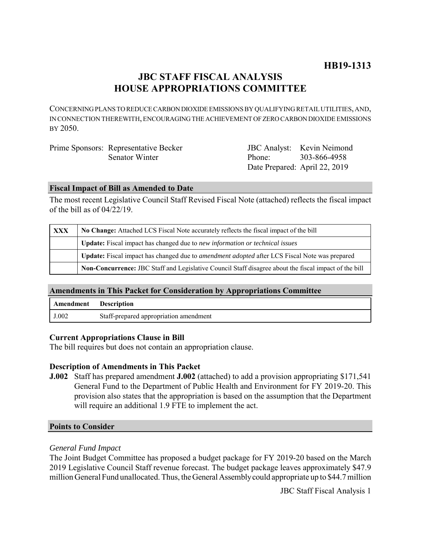# **JBC STAFF FISCAL ANALYSIS HOUSE APPROPRIATIONS COMMITTEE**

CONCERNING PLANS TO REDUCE CARBON DIOXIDE EMISSIONS BY QUALIFYING RETAIL UTILITIES, AND, IN CONNECTION THEREWITH, ENCOURAGING THE ACHIEVEMENT OF ZERO CARBON DIOXIDE EMISSIONS BY 2050.

| Prime Sponsors: Representative Becker |                               | <b>JBC</b> Analyst: Kevin Neimond |
|---------------------------------------|-------------------------------|-----------------------------------|
| Senator Winter                        | Phone: 303-866-4958           |                                   |
|                                       | Date Prepared: April 22, 2019 |                                   |

## **Fiscal Impact of Bill as Amended to Date**

The most recent Legislative Council Staff Revised Fiscal Note (attached) reflects the fiscal impact of the bill as of 04/22/19.

| <b>XXX</b> | No Change: Attached LCS Fiscal Note accurately reflects the fiscal impact of the bill                 |  |
|------------|-------------------------------------------------------------------------------------------------------|--|
|            | <b>Update:</b> Fiscal impact has changed due to new information or technical issues                   |  |
|            | Update: Fiscal impact has changed due to <i>amendment adopted</i> after LCS Fiscal Note was prepared  |  |
|            | Non-Concurrence: JBC Staff and Legislative Council Staff disagree about the fiscal impact of the bill |  |

## **Amendments in This Packet for Consideration by Appropriations Committee**

| <b>Amendment</b> Description |                                        |
|------------------------------|----------------------------------------|
| J.002                        | Staff-prepared appropriation amendment |

## **Current Appropriations Clause in Bill**

The bill requires but does not contain an appropriation clause.

## **Description of Amendments in This Packet**

**J.002** Staff has prepared amendment **J.002** (attached) to add a provision appropriating \$171,541 General Fund to the Department of Public Health and Environment for FY 2019-20. This provision also states that the appropriation is based on the assumption that the Department will require an additional 1.9 FTE to implement the act.

#### **Points to Consider**

## *General Fund Impact*

The Joint Budget Committee has proposed a budget package for FY 2019-20 based on the March 2019 Legislative Council Staff revenue forecast. The budget package leaves approximately \$47.9 million General Fund unallocated. Thus, the General Assembly could appropriate up to \$44.7 million